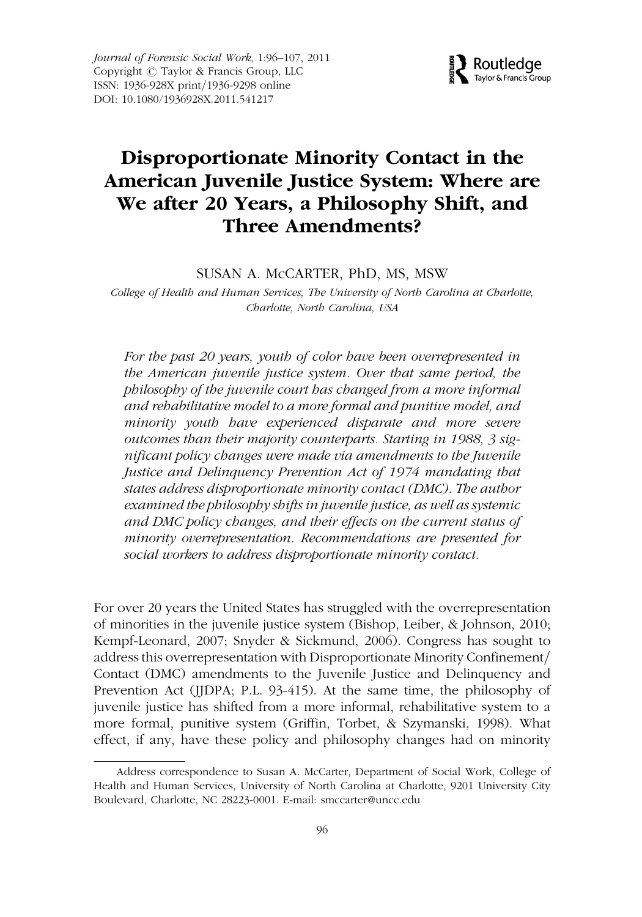Journal of Forensic Social Work, 1:96–107, 2011 Copyright  $\odot$  Taylor & Francis Group, LLC ISSN: 1936-928X print/1936-9298 online DOI: 10.1080/1936928X.2011.541217



# Disproportionate Minority Contact in the American Juvenile Justice System: Where are We after 20 Years, a Philosophy Shift, and Three Amendments?

#### SUSAN A. McCARTER, PhD, MS, MSW

College of Health and Human Services, The University of North Carolina at Charlotte, Charlotte, North Carolina, USA

For the past 20 years, youth of color have been overrepresented in the American juvenile justice system. Over that same period, the philosophy of the juvenile court has changed from a more informal and rehabilitative model to a more formal and punitive model, and minority youth have experienced disparate and more severe outcomes than their majority counterparts. Starting in 1988, 3 significant policy changes were made via amendments to the Juvenile Justice and Delinquency Prevention Act of 1974 mandating that states address disproportionate minority contact (DMC). The author examined the philosophy shifts in juvenile justice, as well as systemic and DMC policy changes, and their effects on the current status of minority overrepresentation. Recommendations are presented for social workers to address disproportionate minority contact.

For over 20 years the United States has struggled with the overrepresentation of minorities in the juvenile justice system (Bishop, Leiber, & Johnson, 2010; Kempf-Leonard, 2007; Snyder & Sickmund, 2006). Congress has sought to address this overrepresentation with Disproportionate Minority Confinement/ Contact (DMC) amendments to the Juvenile Justice and Delinquency and Prevention Act (JJDPA; P.L. 93-415). At the same time, the philosophy of juvenile justice has shifted from a more informal, rehabilitative system to a more formal, punitive system (Griffin, Torbet, & Szymanski, 1998). What effect, if any, have these policy and philosophy changes had on minority

Address correspondence to Susan A. McCarter, Department of Social Work, College of Health and Human Services, University of North Carolina at Charlotte, 9201 University City Boulevard, Charlotte, NC 28223-0001. E-mail: smccarter@uncc.edu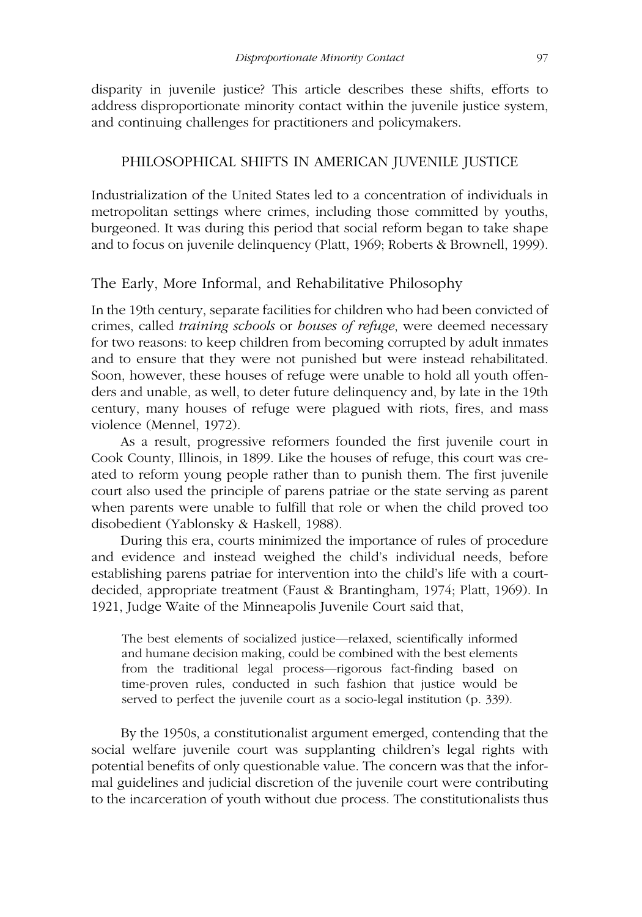disparity in juvenile justice? This article describes these shifts, efforts to address disproportionate minority contact within the juvenile justice system, and continuing challenges for practitioners and policymakers.

#### PHILOSOPHICAL SHIFTS IN AMERICAN JUVENILE JUSTICE

Industrialization of the United States led to a concentration of individuals in metropolitan settings where crimes, including those committed by youths, burgeoned. It was during this period that social reform began to take shape and to focus on juvenile delinquency (Platt, 1969; Roberts & Brownell, 1999).

#### The Early, More Informal, and Rehabilitative Philosophy

In the 19th century, separate facilities for children who had been convicted of crimes, called *training schools* or *houses of refuge*, were deemed necessary for two reasons: to keep children from becoming corrupted by adult inmates and to ensure that they were not punished but were instead rehabilitated. Soon, however, these houses of refuge were unable to hold all youth offenders and unable, as well, to deter future delinquency and, by late in the 19th century, many houses of refuge were plagued with riots, fires, and mass violence (Mennel, 1972).

As a result, progressive reformers founded the first juvenile court in Cook County, Illinois, in 1899. Like the houses of refuge, this court was created to reform young people rather than to punish them. The first juvenile court also used the principle of parens patriae or the state serving as parent when parents were unable to fulfill that role or when the child proved too disobedient (Yablonsky & Haskell, 1988).

During this era, courts minimized the importance of rules of procedure and evidence and instead weighed the child's individual needs, before establishing parens patriae for intervention into the child's life with a courtdecided, appropriate treatment (Faust & Brantingham, 1974; Platt, 1969). In 1921, Judge Waite of the Minneapolis Juvenile Court said that,

The best elements of socialized justice—relaxed, scientifically informed and humane decision making, could be combined with the best elements from the traditional legal process—rigorous fact-finding based on time-proven rules, conducted in such fashion that justice would be served to perfect the juvenile court as a socio-legal institution (p. 339).

By the 1950s, a constitutionalist argument emerged, contending that the social welfare juvenile court was supplanting children's legal rights with potential benefits of only questionable value. The concern was that the informal guidelines and judicial discretion of the juvenile court were contributing to the incarceration of youth without due process. The constitutionalists thus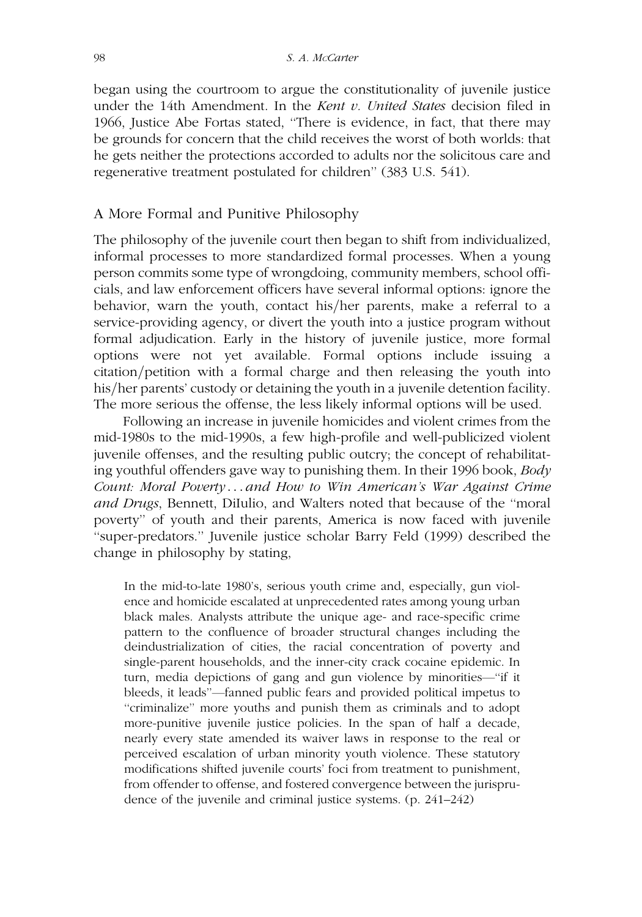began using the courtroom to argue the constitutionality of juvenile justice under the 14th Amendment. In the Kent v. United States decision filed in 1966, Justice Abe Fortas stated, ''There is evidence, in fact, that there may be grounds for concern that the child receives the worst of both worlds: that he gets neither the protections accorded to adults nor the solicitous care and regenerative treatment postulated for children'' (383 U.S. 541).

### A More Formal and Punitive Philosophy

The philosophy of the juvenile court then began to shift from individualized, informal processes to more standardized formal processes. When a young person commits some type of wrongdoing, community members, school officials, and law enforcement officers have several informal options: ignore the behavior, warn the youth, contact his/her parents, make a referral to a service-providing agency, or divert the youth into a justice program without formal adjudication. Early in the history of juvenile justice, more formal options were not yet available. Formal options include issuing a citation/petition with a formal charge and then releasing the youth into his/her parents' custody or detaining the youth in a juvenile detention facility. The more serious the offense, the less likely informal options will be used.

Following an increase in juvenile homicides and violent crimes from the mid-1980s to the mid-1990s, a few high-profile and well-publicized violent juvenile offenses, and the resulting public outcry; the concept of rehabilitating youthful offenders gave way to punishing them. In their 1996 book, Body Count: Moral Poverty ... and How to Win American's War Against Crime and Drugs, Bennett, DiIulio, and Walters noted that because of the ''moral poverty'' of youth and their parents, America is now faced with juvenile ''super-predators.'' Juvenile justice scholar Barry Feld (1999) described the change in philosophy by stating,

In the mid-to-late 1980's, serious youth crime and, especially, gun violence and homicide escalated at unprecedented rates among young urban black males. Analysts attribute the unique age- and race-specific crime pattern to the confluence of broader structural changes including the deindustrialization of cities, the racial concentration of poverty and single-parent households, and the inner-city crack cocaine epidemic. In turn, media depictions of gang and gun violence by minorities—''if it bleeds, it leads''—fanned public fears and provided political impetus to ''criminalize'' more youths and punish them as criminals and to adopt more-punitive juvenile justice policies. In the span of half a decade, nearly every state amended its waiver laws in response to the real or perceived escalation of urban minority youth violence. These statutory modifications shifted juvenile courts' foci from treatment to punishment, from offender to offense, and fostered convergence between the jurisprudence of the juvenile and criminal justice systems. (p. 241–242)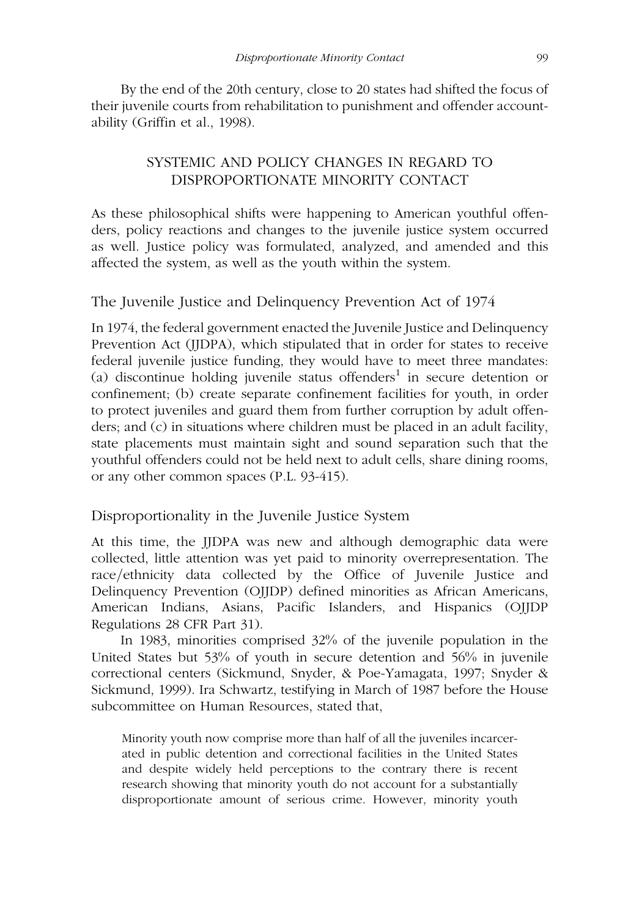By the end of the 20th century, close to 20 states had shifted the focus of their juvenile courts from rehabilitation to punishment and offender accountability (Griffin et al., 1998).

# SYSTEMIC AND POLICY CHANGES IN REGARD TO DISPROPORTIONATE MINORITY CONTACT

As these philosophical shifts were happening to American youthful offenders, policy reactions and changes to the juvenile justice system occurred as well. Justice policy was formulated, analyzed, and amended and this affected the system, as well as the youth within the system.

## The Juvenile Justice and Delinquency Prevention Act of 1974

In 1974, the federal government enacted the Juvenile Justice and Delinquency Prevention Act (JJDPA), which stipulated that in order for states to receive federal juvenile justice funding, they would have to meet three mandates: (a) discontinue holding juvenile status offenders<sup>1</sup> in secure detention or confinement; (b) create separate confinement facilities for youth, in order to protect juveniles and guard them from further corruption by adult offenders; and (c) in situations where children must be placed in an adult facility, state placements must maintain sight and sound separation such that the youthful offenders could not be held next to adult cells, share dining rooms, or any other common spaces (P.L. 93-415).

## Disproportionality in the Juvenile Justice System

At this time, the JJDPA was new and although demographic data were collected, little attention was yet paid to minority overrepresentation. The race/ethnicity data collected by the Office of Juvenile Justice and Delinquency Prevention (OJJDP) defined minorities as African Americans, American Indians, Asians, Pacific Islanders, and Hispanics (OJJDP Regulations 28 CFR Part 31).

In 1983, minorities comprised 32% of the juvenile population in the United States but 53% of youth in secure detention and 56% in juvenile correctional centers (Sickmund, Snyder, & Poe-Yamagata, 1997; Snyder & Sickmund, 1999). Ira Schwartz, testifying in March of 1987 before the House subcommittee on Human Resources, stated that,

Minority youth now comprise more than half of all the juveniles incarcerated in public detention and correctional facilities in the United States and despite widely held perceptions to the contrary there is recent research showing that minority youth do not account for a substantially disproportionate amount of serious crime. However, minority youth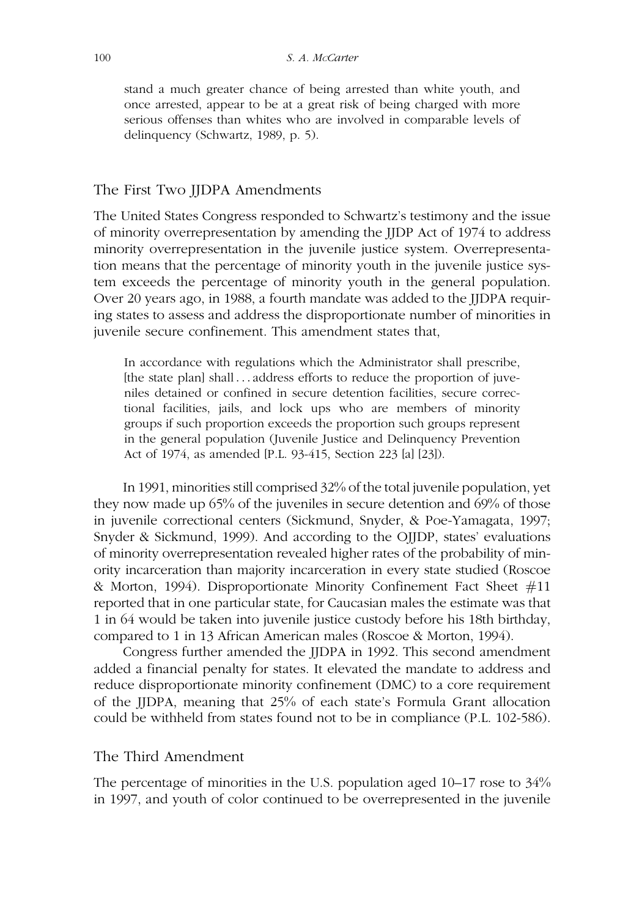stand a much greater chance of being arrested than white youth, and once arrested, appear to be at a great risk of being charged with more serious offenses than whites who are involved in comparable levels of delinquency (Schwartz, 1989, p. 5).

#### The First Two JJDPA Amendments

The United States Congress responded to Schwartz's testimony and the issue of minority overrepresentation by amending the JJDP Act of 1974 to address minority overrepresentation in the juvenile justice system. Overrepresentation means that the percentage of minority youth in the juvenile justice system exceeds the percentage of minority youth in the general population. Over 20 years ago, in 1988, a fourth mandate was added to the JJDPA requiring states to assess and address the disproportionate number of minorities in juvenile secure confinement. This amendment states that,

In accordance with regulations which the Administrator shall prescribe, [the state plan] shall ...address efforts to reduce the proportion of juveniles detained or confined in secure detention facilities, secure correctional facilities, jails, and lock ups who are members of minority groups if such proportion exceeds the proportion such groups represent in the general population (Juvenile Justice and Delinquency Prevention Act of 1974, as amended [P.L. 93-415, Section 223 [a] [23]).

In 1991, minorities still comprised 32% of the total juvenile population, yet they now made up 65% of the juveniles in secure detention and 69% of those in juvenile correctional centers (Sickmund, Snyder, & Poe-Yamagata, 1997; Snyder & Sickmund, 1999). And according to the OJJDP, states' evaluations of minority overrepresentation revealed higher rates of the probability of minority incarceration than majority incarceration in every state studied (Roscoe & Morton, 1994). Disproportionate Minority Confinement Fact Sheet #11 reported that in one particular state, for Caucasian males the estimate was that 1 in 64 would be taken into juvenile justice custody before his 18th birthday, compared to 1 in 13 African American males (Roscoe & Morton, 1994).

Congress further amended the JJDPA in 1992. This second amendment added a financial penalty for states. It elevated the mandate to address and reduce disproportionate minority confinement (DMC) to a core requirement of the JJDPA, meaning that 25% of each state's Formula Grant allocation could be withheld from states found not to be in compliance (P.L. 102-586).

## The Third Amendment

The percentage of minorities in the U.S. population aged 10–17 rose to 34% in 1997, and youth of color continued to be overrepresented in the juvenile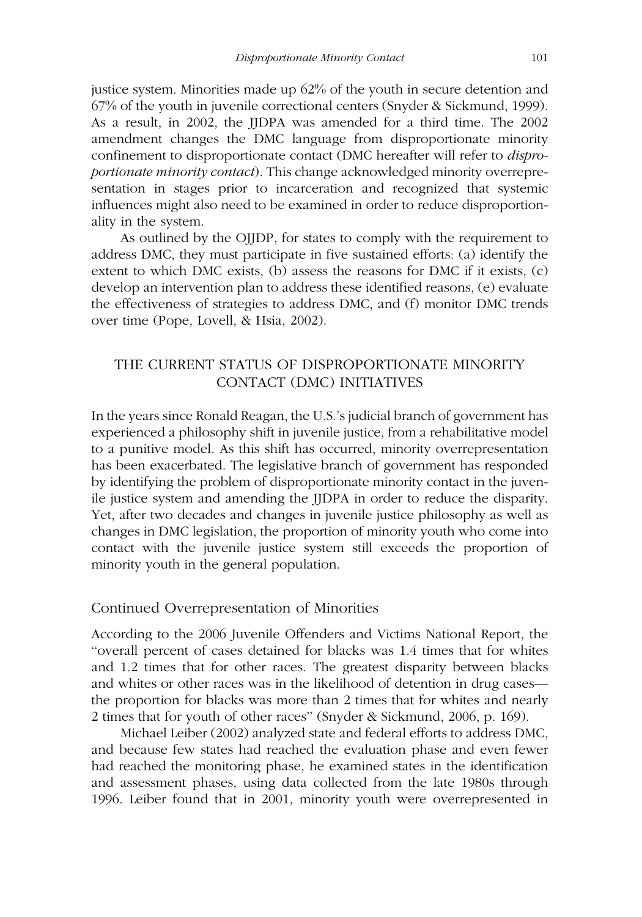justice system. Minorities made up 62% of the youth in secure detention and 67% of the youth in juvenile correctional centers (Snyder & Sickmund, 1999). As a result, in 2002, the JJDPA was amended for a third time. The 2002 amendment changes the DMC language from disproportionate minority confinement to disproportionate contact (DMC hereafter will refer to disproportionate minority contact). This change acknowledged minority overrepresentation in stages prior to incarceration and recognized that systemic influences might also need to be examined in order to reduce disproportionality in the system.

As outlined by the OJJDP, for states to comply with the requirement to address DMC, they must participate in five sustained efforts: (a) identify the extent to which DMC exists, (b) assess the reasons for DMC if it exists, (c) develop an intervention plan to address these identified reasons, (e) evaluate the effectiveness of strategies to address DMC, and (f) monitor DMC trends over time (Pope, Lovell, & Hsia, 2002).

# THE CURRENT STATUS OF DISPROPORTIONATE MINORITY CONTACT (DMC) INITIATIVES

In the years since Ronald Reagan, the U.S.'s judicial branch of government has experienced a philosophy shift in juvenile justice, from a rehabilitative model to a punitive model. As this shift has occurred, minority overrepresentation has been exacerbated. The legislative branch of government has responded by identifying the problem of disproportionate minority contact in the juvenile justice system and amending the JJDPA in order to reduce the disparity. Yet, after two decades and changes in juvenile justice philosophy as well as changes in DMC legislation, the proportion of minority youth who come into contact with the juvenile justice system still exceeds the proportion of minority youth in the general population.

#### Continued Overrepresentation of Minorities

According to the 2006 Juvenile Offenders and Victims National Report, the ''overall percent of cases detained for blacks was 1.4 times that for whites and 1.2 times that for other races. The greatest disparity between blacks and whites or other races was in the likelihood of detention in drug cases the proportion for blacks was more than 2 times that for whites and nearly 2 times that for youth of other races'' (Snyder & Sickmund, 2006, p. 169).

Michael Leiber (2002) analyzed state and federal efforts to address DMC, and because few states had reached the evaluation phase and even fewer had reached the monitoring phase, he examined states in the identification and assessment phases, using data collected from the late 1980s through 1996. Leiber found that in 2001, minority youth were overrepresented in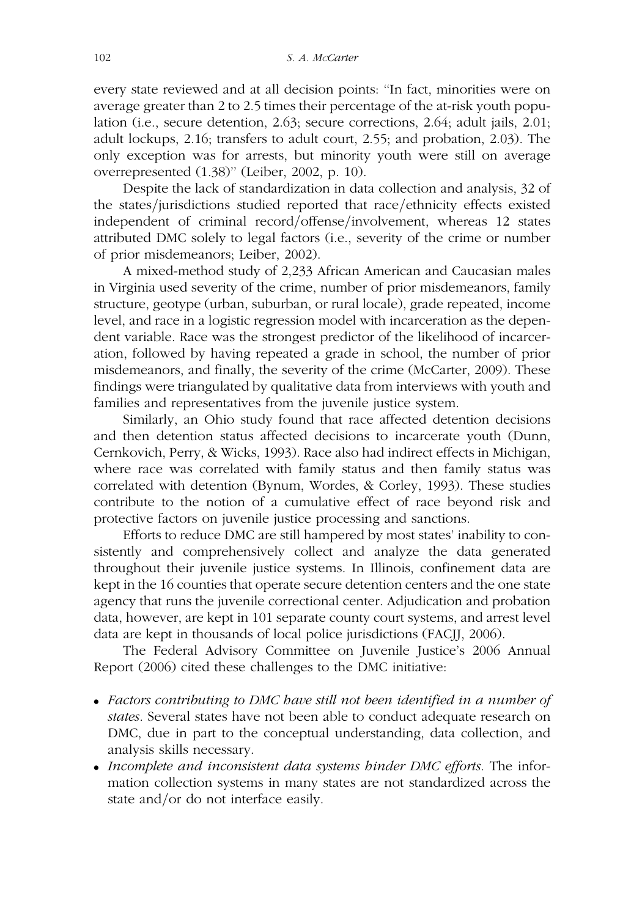every state reviewed and at all decision points: ''In fact, minorities were on average greater than 2 to 2.5 times their percentage of the at-risk youth population (i.e., secure detention, 2.63; secure corrections, 2.64; adult jails, 2.01; adult lockups, 2.16; transfers to adult court, 2.55; and probation, 2.03). The only exception was for arrests, but minority youth were still on average overrepresented (1.38)'' (Leiber, 2002, p. 10).

Despite the lack of standardization in data collection and analysis, 32 of the states/jurisdictions studied reported that race/ethnicity effects existed independent of criminal record/offense/involvement, whereas 12 states attributed DMC solely to legal factors (i.e., severity of the crime or number of prior misdemeanors; Leiber, 2002).

A mixed-method study of 2,233 African American and Caucasian males in Virginia used severity of the crime, number of prior misdemeanors, family structure, geotype (urban, suburban, or rural locale), grade repeated, income level, and race in a logistic regression model with incarceration as the dependent variable. Race was the strongest predictor of the likelihood of incarceration, followed by having repeated a grade in school, the number of prior misdemeanors, and finally, the severity of the crime (McCarter, 2009). These findings were triangulated by qualitative data from interviews with youth and families and representatives from the juvenile justice system.

Similarly, an Ohio study found that race affected detention decisions and then detention status affected decisions to incarcerate youth (Dunn, Cernkovich, Perry, & Wicks, 1993). Race also had indirect effects in Michigan, where race was correlated with family status and then family status was correlated with detention (Bynum, Wordes, & Corley, 1993). These studies contribute to the notion of a cumulative effect of race beyond risk and protective factors on juvenile justice processing and sanctions.

Efforts to reduce DMC are still hampered by most states' inability to consistently and comprehensively collect and analyze the data generated throughout their juvenile justice systems. In Illinois, confinement data are kept in the 16 counties that operate secure detention centers and the one state agency that runs the juvenile correctional center. Adjudication and probation data, however, are kept in 101 separate county court systems, and arrest level data are kept in thousands of local police jurisdictions (FACJJ, 2006).

The Federal Advisory Committee on Juvenile Justice's 2006 Annual Report (2006) cited these challenges to the DMC initiative:

- . Factors contributing to DMC have still not been identified in a number of states. Several states have not been able to conduct adequate research on DMC, due in part to the conceptual understanding, data collection, and analysis skills necessary.
- . Incomplete and inconsistent data systems hinder DMC efforts. The information collection systems in many states are not standardized across the state and/or do not interface easily.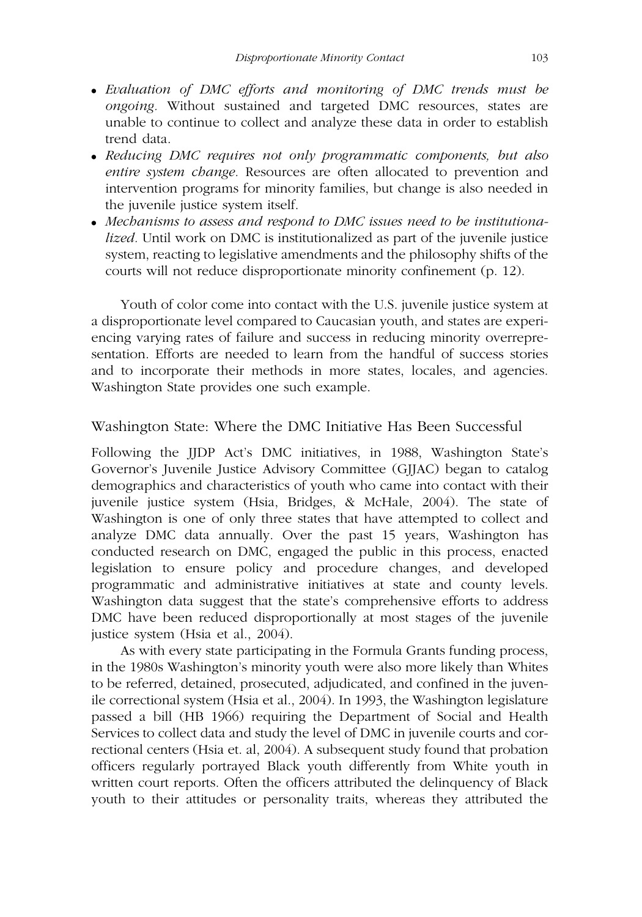- . Evaluation of DMC efforts and monitoring of DMC trends must be ongoing. Without sustained and targeted DMC resources, states are unable to continue to collect and analyze these data in order to establish trend data.
- . Reducing DMC requires not only programmatic components, but also entire system change. Resources are often allocated to prevention and intervention programs for minority families, but change is also needed in the juvenile justice system itself.
- . Mechanisms to assess and respond to DMC issues need to be institutionalized. Until work on DMC is institutionalized as part of the juvenile justice system, reacting to legislative amendments and the philosophy shifts of the courts will not reduce disproportionate minority confinement (p. 12).

Youth of color come into contact with the U.S. juvenile justice system at a disproportionate level compared to Caucasian youth, and states are experiencing varying rates of failure and success in reducing minority overrepresentation. Efforts are needed to learn from the handful of success stories and to incorporate their methods in more states, locales, and agencies. Washington State provides one such example.

## Washington State: Where the DMC Initiative Has Been Successful

Following the JJDP Act's DMC initiatives, in 1988, Washington State's Governor's Juvenile Justice Advisory Committee (GJJAC) began to catalog demographics and characteristics of youth who came into contact with their juvenile justice system (Hsia, Bridges, & McHale, 2004). The state of Washington is one of only three states that have attempted to collect and analyze DMC data annually. Over the past 15 years, Washington has conducted research on DMC, engaged the public in this process, enacted legislation to ensure policy and procedure changes, and developed programmatic and administrative initiatives at state and county levels. Washington data suggest that the state's comprehensive efforts to address DMC have been reduced disproportionally at most stages of the juvenile justice system (Hsia et al., 2004).

As with every state participating in the Formula Grants funding process, in the 1980s Washington's minority youth were also more likely than Whites to be referred, detained, prosecuted, adjudicated, and confined in the juvenile correctional system (Hsia et al., 2004). In 1993, the Washington legislature passed a bill (HB 1966) requiring the Department of Social and Health Services to collect data and study the level of DMC in juvenile courts and correctional centers (Hsia et. al, 2004). A subsequent study found that probation officers regularly portrayed Black youth differently from White youth in written court reports. Often the officers attributed the delinquency of Black youth to their attitudes or personality traits, whereas they attributed the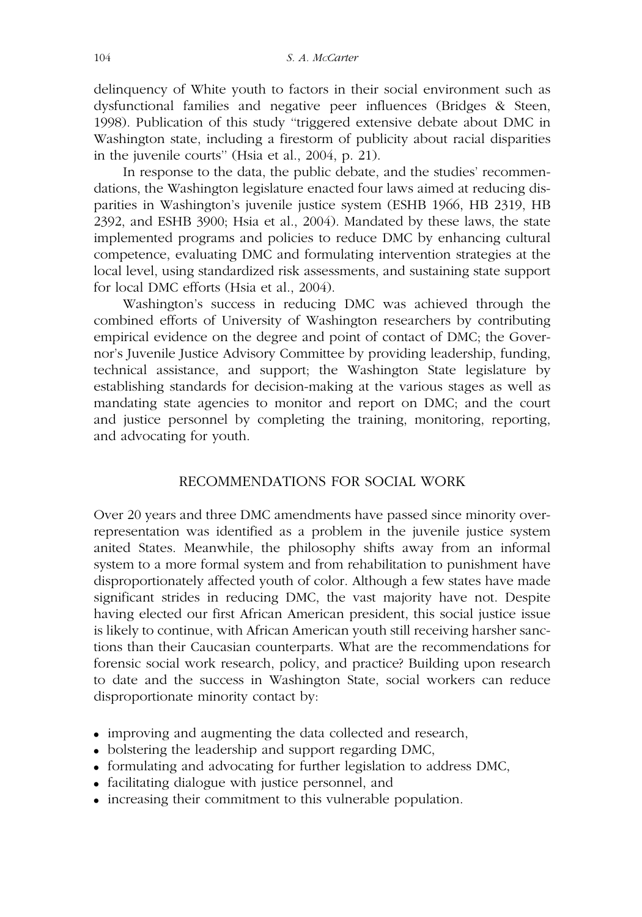delinquency of White youth to factors in their social environment such as dysfunctional families and negative peer influences (Bridges & Steen, 1998). Publication of this study ''triggered extensive debate about DMC in Washington state, including a firestorm of publicity about racial disparities in the juvenile courts'' (Hsia et al., 2004, p. 21).

In response to the data, the public debate, and the studies' recommendations, the Washington legislature enacted four laws aimed at reducing disparities in Washington's juvenile justice system (ESHB 1966, HB 2319, HB 2392, and ESHB 3900; Hsia et al., 2004). Mandated by these laws, the state implemented programs and policies to reduce DMC by enhancing cultural competence, evaluating DMC and formulating intervention strategies at the local level, using standardized risk assessments, and sustaining state support for local DMC efforts (Hsia et al., 2004).

Washington's success in reducing DMC was achieved through the combined efforts of University of Washington researchers by contributing empirical evidence on the degree and point of contact of DMC; the Governor's Juvenile Justice Advisory Committee by providing leadership, funding, technical assistance, and support; the Washington State legislature by establishing standards for decision-making at the various stages as well as mandating state agencies to monitor and report on DMC; and the court and justice personnel by completing the training, monitoring, reporting, and advocating for youth.

#### RECOMMENDATIONS FOR SOCIAL WORK

Over 20 years and three DMC amendments have passed since minority overrepresentation was identified as a problem in the juvenile justice system anited States. Meanwhile, the philosophy shifts away from an informal system to a more formal system and from rehabilitation to punishment have disproportionately affected youth of color. Although a few states have made significant strides in reducing DMC, the vast majority have not. Despite having elected our first African American president, this social justice issue is likely to continue, with African American youth still receiving harsher sanctions than their Caucasian counterparts. What are the recommendations for forensic social work research, policy, and practice? Building upon research to date and the success in Washington State, social workers can reduce disproportionate minority contact by:

- . improving and augmenting the data collected and research,
- . bolstering the leadership and support regarding DMC,
- . formulating and advocating for further legislation to address DMC,
- . facilitating dialogue with justice personnel, and
- . increasing their commitment to this vulnerable population.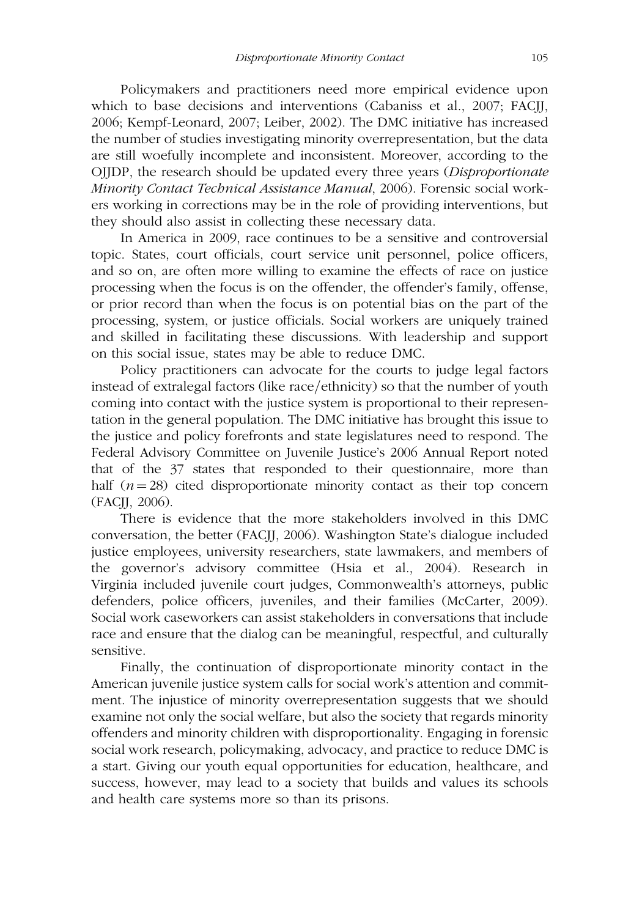Policymakers and practitioners need more empirical evidence upon which to base decisions and interventions (Cabaniss et al., 2007; FACJJ, 2006; Kempf-Leonard, 2007; Leiber, 2002). The DMC initiative has increased the number of studies investigating minority overrepresentation, but the data are still woefully incomplete and inconsistent. Moreover, according to the OJJDP, the research should be updated every three years (Disproportionate Minority Contact Technical Assistance Manual, 2006). Forensic social workers working in corrections may be in the role of providing interventions, but they should also assist in collecting these necessary data.

In America in 2009, race continues to be a sensitive and controversial topic. States, court officials, court service unit personnel, police officers, and so on, are often more willing to examine the effects of race on justice processing when the focus is on the offender, the offender's family, offense, or prior record than when the focus is on potential bias on the part of the processing, system, or justice officials. Social workers are uniquely trained and skilled in facilitating these discussions. With leadership and support on this social issue, states may be able to reduce DMC.

Policy practitioners can advocate for the courts to judge legal factors instead of extralegal factors (like race/ethnicity) so that the number of youth coming into contact with the justice system is proportional to their representation in the general population. The DMC initiative has brought this issue to the justice and policy forefronts and state legislatures need to respond. The Federal Advisory Committee on Juvenile Justice's 2006 Annual Report noted that of the 37 states that responded to their questionnaire, more than half  $(n = 28)$  cited disproportionate minority contact as their top concern (FACJJ, 2006).

There is evidence that the more stakeholders involved in this DMC conversation, the better (FACJJ, 2006). Washington State's dialogue included justice employees, university researchers, state lawmakers, and members of the governor's advisory committee (Hsia et al., 2004). Research in Virginia included juvenile court judges, Commonwealth's attorneys, public defenders, police officers, juveniles, and their families (McCarter, 2009). Social work caseworkers can assist stakeholders in conversations that include race and ensure that the dialog can be meaningful, respectful, and culturally sensitive.

Finally, the continuation of disproportionate minority contact in the American juvenile justice system calls for social work's attention and commitment. The injustice of minority overrepresentation suggests that we should examine not only the social welfare, but also the society that regards minority offenders and minority children with disproportionality. Engaging in forensic social work research, policymaking, advocacy, and practice to reduce DMC is a start. Giving our youth equal opportunities for education, healthcare, and success, however, may lead to a society that builds and values its schools and health care systems more so than its prisons.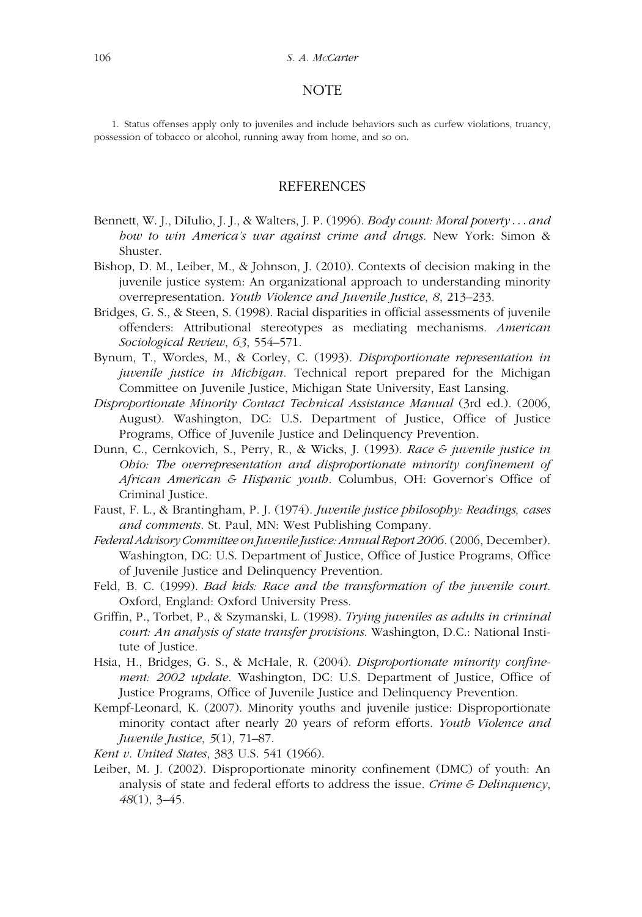#### **NOTE**

1. Status offenses apply only to juveniles and include behaviors such as curfew violations, truancy, possession of tobacco or alcohol, running away from home, and so on.

#### REFERENCES

- Bennett, W. J., DiIulio, J. J., & Walters, J. P. (1996). Body count: Moral poverty ... and how to win America's war against crime and drugs. New York: Simon & Shuster.
- Bishop, D. M., Leiber, M., & Johnson, J. (2010). Contexts of decision making in the juvenile justice system: An organizational approach to understanding minority overrepresentation. Youth Violence and Juvenile Justice, 8, 213–233.
- Bridges, G. S., & Steen, S. (1998). Racial disparities in official assessments of juvenile offenders: Attributional stereotypes as mediating mechanisms. American Sociological Review, 63, 554–571.
- Bynum, T., Wordes, M., & Corley, C. (1993). Disproportionate representation in juvenile justice in Michigan. Technical report prepared for the Michigan Committee on Juvenile Justice, Michigan State University, East Lansing.
- Disproportionate Minority Contact Technical Assistance Manual (3rd ed.). (2006, August). Washington, DC: U.S. Department of Justice, Office of Justice Programs, Office of Juvenile Justice and Delinquency Prevention.
- Dunn, C., Cernkovich, S., Perry, R., & Wicks, J. (1993). Race & juvenile justice in Ohio: The overrepresentation and disproportionate minority confinement of African American & Hispanic youth. Columbus, OH: Governor's Office of Criminal Justice.
- Faust, F. L., & Brantingham, P. J. (1974). Juvenile justice philosophy: Readings, cases and comments. St. Paul, MN: West Publishing Company.
- Federal Advisory Committee on Juvenile Justice: Annual Report 2006. (2006, December). Washington, DC: U.S. Department of Justice, Office of Justice Programs, Office of Juvenile Justice and Delinquency Prevention.
- Feld, B. C. (1999). *Bad kids: Race and the transformation of the juvenile court.* Oxford, England: Oxford University Press.
- Griffin, P., Torbet, P., & Szymanski, L. (1998). Trying juveniles as adults in criminal court: An analysis of state transfer provisions. Washington, D.C.: National Institute of Justice.
- Hsia, H., Bridges, G. S., & McHale, R. (2004). Disproportionate minority confinement: 2002 update. Washington, DC: U.S. Department of Justice, Office of Justice Programs, Office of Juvenile Justice and Delinquency Prevention.
- Kempf-Leonard, K. (2007). Minority youths and juvenile justice: Disproportionate minority contact after nearly 20 years of reform efforts. Youth Violence and Juvenile Justice, 5(1), 71–87.
- Kent v. United States, 383 U.S. 541 (1966).
- Leiber, M. J. (2002). Disproportionate minority confinement (DMC) of youth: An analysis of state and federal efforts to address the issue. Crime & Delinquency, 48(1), 3–45.